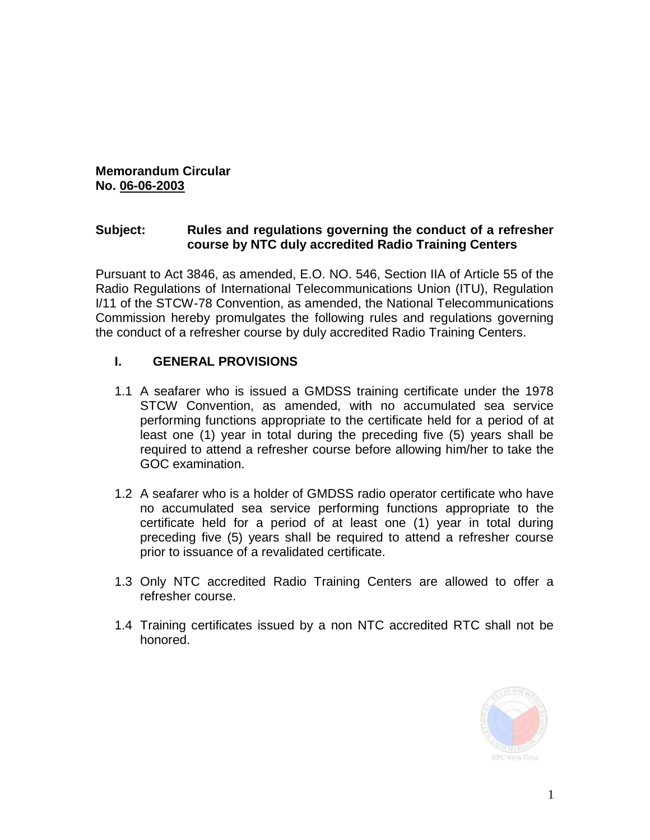## **Memorandum Circular No. 06-06-2003**

#### **Subject: Rules and regulations governing the conduct of a refresher course by NTC duly accredited Radio Training Centers**

Pursuant to Act 3846, as amended, E.O. NO. 546, Section IIA of Article 55 of the Radio Regulations of International Telecommunications Union (ITU), Regulation I/11 of the STCW-78 Convention, as amended, the National Telecommunications Commission hereby promulgates the following rules and regulations governing the conduct of a refresher course by duly accredited Radio Training Centers.

#### **I. GENERAL PROVISIONS**

- 1.1 A seafarer who is issued a GMDSS training certificate under the 1978 STCW Convention, as amended, with no accumulated sea service performing functions appropriate to the certificate held for a period of at least one (1) year in total during the preceding five (5) years shall be required to attend a refresher course before allowing him/her to take the GOC examination.
- 1.2 A seafarer who is a holder of GMDSS radio operator certificate who have no accumulated sea service performing functions appropriate to the certificate held for a period of at least one (1) year in total during preceding five (5) years shall be required to attend a refresher course prior to issuance of a revalidated certificate.
- 1.3 Only NTC accredited Radio Training Centers are allowed to offer a refresher course.
- 1.4 Training certificates issued by a non NTC accredited RTC shall not be honored.

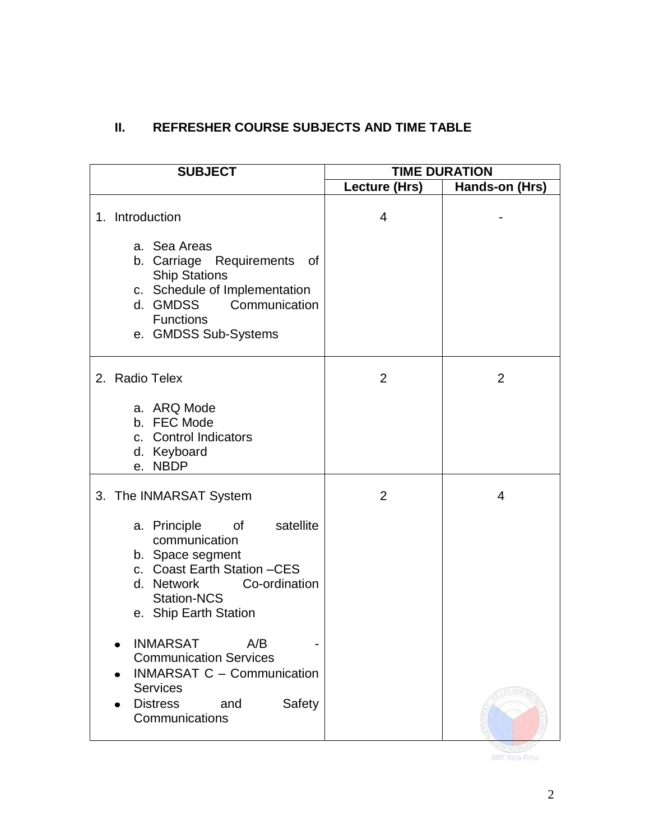# **II. REFRESHER COURSE SUBJECTS AND TIME TABLE**

| <b>SUBJECT</b>                                                                                                                                                                                      | <b>TIME DURATION</b> |                |
|-----------------------------------------------------------------------------------------------------------------------------------------------------------------------------------------------------|----------------------|----------------|
|                                                                                                                                                                                                     | Lecture (Hrs)        | Hands-on (Hrs) |
| 1. Introduction<br>a. Sea Areas<br>b. Carriage Requirements<br>of<br><b>Ship Stations</b><br>c. Schedule of Implementation<br>d. GMDSS<br>Communication<br><b>Functions</b><br>e. GMDSS Sub-Systems | 4                    |                |
| 2. Radio Telex                                                                                                                                                                                      | $\overline{2}$       | 2              |
| a. ARQ Mode<br>b. FEC Mode<br>c. Control Indicators<br>d. Keyboard<br><b>NBDP</b><br>е.                                                                                                             |                      |                |
| 3. The INMARSAT System                                                                                                                                                                              | $\overline{2}$       | 4              |
| a. Principle<br>satellite<br>0f<br>communication<br>b. Space segment<br>c. Coast Earth Station -CES<br>Co-ordination<br>d. Network<br><b>Station-NCS</b><br>e. Ship Earth Station                   |                      |                |
| <b>INMARSAT</b><br>A/B<br><b>Communication Services</b><br><b>INMARSAT C - Communication</b><br><b>Services</b><br><b>Distress</b><br>Safety<br>and<br>Communications                               |                      |                |

**RITTERS STAR**<br>NYE WAN Files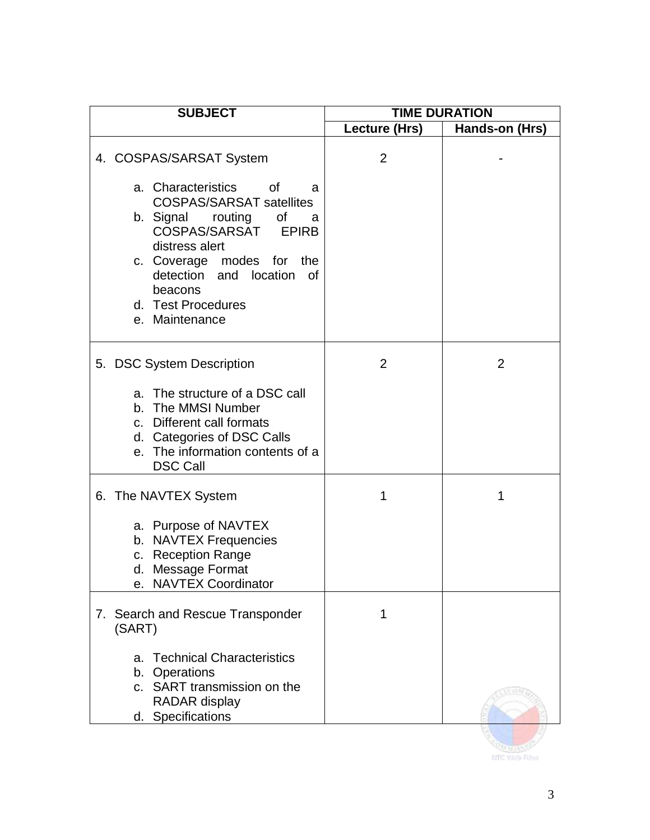| <b>SUBJECT</b> |                                                                                                                                                                                                                                                                                                                 | <b>TIME DURATION</b> |                |
|----------------|-----------------------------------------------------------------------------------------------------------------------------------------------------------------------------------------------------------------------------------------------------------------------------------------------------------------|----------------------|----------------|
|                |                                                                                                                                                                                                                                                                                                                 | Lecture (Hrs)        | Hands-on (Hrs) |
|                | 4. COSPAS/SARSAT System<br>a. Characteristics<br><b>of</b><br>a<br><b>COSPAS/SARSAT satellites</b><br>of<br>b. Signal routing<br>a<br>COSPAS/SARSAT<br><b>EPIRB</b><br>distress alert<br>c. Coverage modes for<br>the<br>detection and location<br><b>of</b><br>beacons<br>d. Test Procedures<br>e. Maintenance | 2                    |                |
|                | 5. DSC System Description<br>a. The structure of a DSC call<br>b. The MMSI Number<br>c. Different call formats<br>d. Categories of DSC Calls<br>e. The information contents of a<br><b>DSC Call</b>                                                                                                             | $\overline{2}$       | 2              |
|                | 6. The NAVTEX System<br>a. Purpose of NAVTEX<br>b. NAVTEX Frequencies<br>c. Reception Range<br>d. Message Format<br><b>NAVTEX Coordinator</b><br>е.                                                                                                                                                             | 1                    | 1              |
|                | 7. Search and Rescue Transponder<br>(SART)<br><b>Technical Characteristics</b><br>a.<br>b. Operations<br>c. SART transmission on the<br>RADAR display<br>d. Specifications                                                                                                                                      | 1                    |                |

**SOLUTION**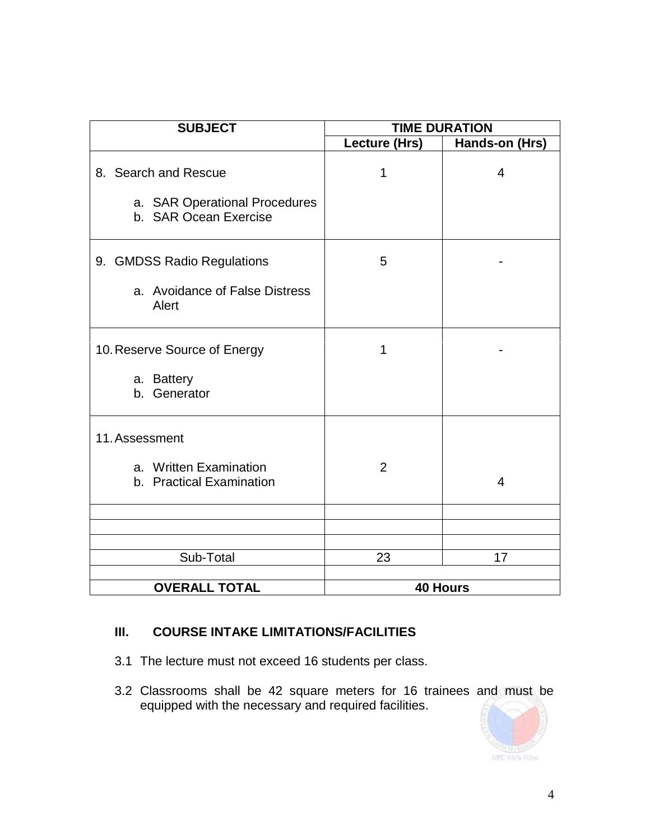| <b>SUBJECT</b>                                                                 | <b>TIME DURATION</b>  |                |
|--------------------------------------------------------------------------------|-----------------------|----------------|
|                                                                                | Lecture (Hrs)         | Hands-on (Hrs) |
| 8. Search and Rescue<br>a. SAR Operational Procedures<br>b. SAR Ocean Exercise | 1                     | 4              |
| 9. GMDSS Radio Regulations<br>a. Avoidance of False Distress<br>Alert          | 5                     |                |
| 10. Reserve Source of Energy<br>a. Battery<br>b. Generator                     | 1                     |                |
| 11. Assessment<br>a. Written Examination<br>b. Practical Examination           | $\overline{2}$        | $\overline{4}$ |
| Sub-Total<br><b>OVERALL TOTAL</b>                                              | 23<br><b>40 Hours</b> | 17             |

# **III. COURSE INTAKE LIMITATIONS/FACILITIES**

- 3.1 The lecture must not exceed 16 students per class.
- 3.2 Classrooms shall be 42 square meters for 16 trainees and must be equipped with the necessary and required facilities.